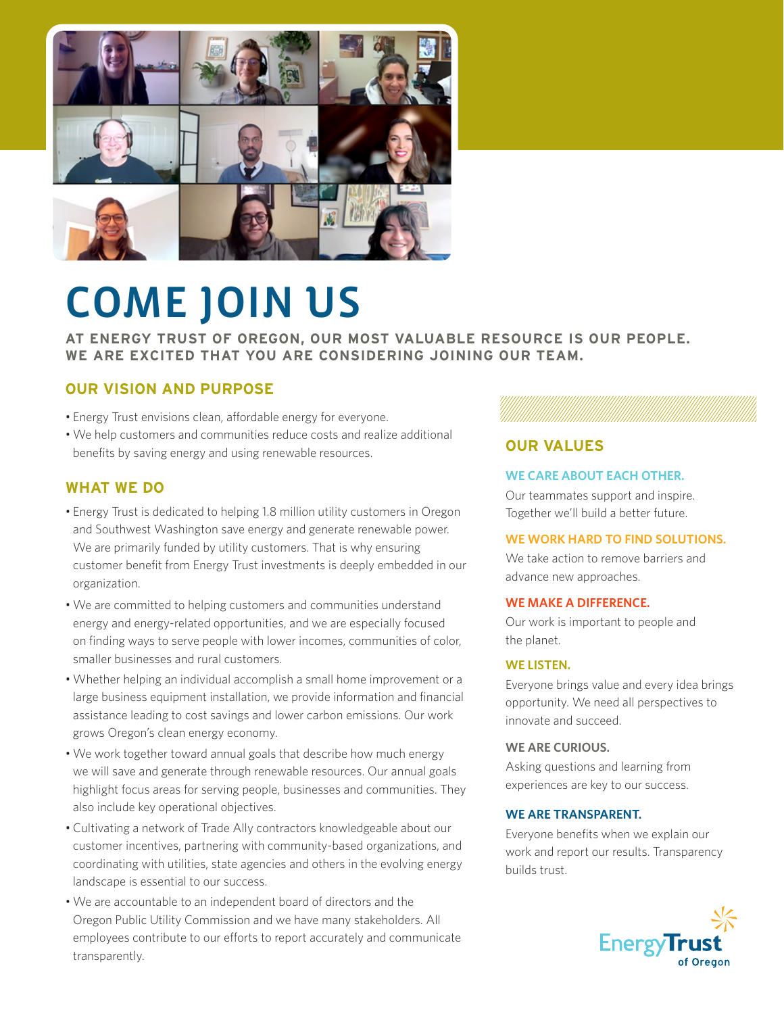

# COME JOIN US

**AT ENERGY TRUST OF OREGON, OUR MOST VALUABLE RESOURCE IS OUR PEOPLE. WE ARE EXCITED THAT YOU ARE CONSIDERING JOINING OUR TEAM.** 

### **OUR VISION AND PURPOSE**

- Energy Trust envisions clean, affordable energy for everyone.
- We help customers and communities reduce costs and realize additional benefits by saving energy and using renewable resources.

#### **WHAT WE DO**

- Energy Trust is dedicated to helping 1.8 million utility customers in Oregon and Southwest Washington save energy and generate renewable power. We are primarily funded by utility customers. That is why ensuring customer benefit from Energy Trust investments is deeply embedded in our organization.
- We are committed to helping customers and communities understand energy and energy-related opportunities, and we are especially focused on finding ways to serve people with lower incomes, communities of color, smaller businesses and rural customers.
- Whether helping an individual accomplish a small home improvement or a large business equipment installation, we provide information and financial assistance leading to cost savings and lower carbon emissions. Our work grows Oregon's clean energy economy.
- We work together toward annual goals that describe how much energy we will save and generate through renewable resources. Our annual goals highlight focus areas for serving people, businesses and communities. They also include key operational objectives.
- Cultivating a network of Trade Ally contractors knowledgeable about our customer incentives, partnering with community-based organizations, and coordinating with utilities, state agencies and others in the evolving energy landscape is essential to our success.
- We are accountable to an independent board of directors and the Oregon Public Utility Commission and we have many stakeholders. All employees contribute to our efforts to report accurately and communicate transparently.

#### **OUR VALUES**

#### **WE CARE ABOUT EACH OTHER.**

Our teammates support and inspire. Together we'll build a better future.

#### **WE WORK HARD TO FIND SOLUTIONS.**

We take action to remove barriers and advance new approaches.

#### **WE MAKE A DIFFERENCE.**

Our work is important to people and the planet.

#### **WE LISTEN.**

Everyone brings value and every idea brings opportunity. We need all perspectives to innovate and succeed.

#### **WE ARE CURIOUS.**

Asking questions and learning from experiences are key to our success.

#### **WE ARE TRANSPARENT.**

Everyone benefits when we explain our work and report our results. Transparency builds trust.